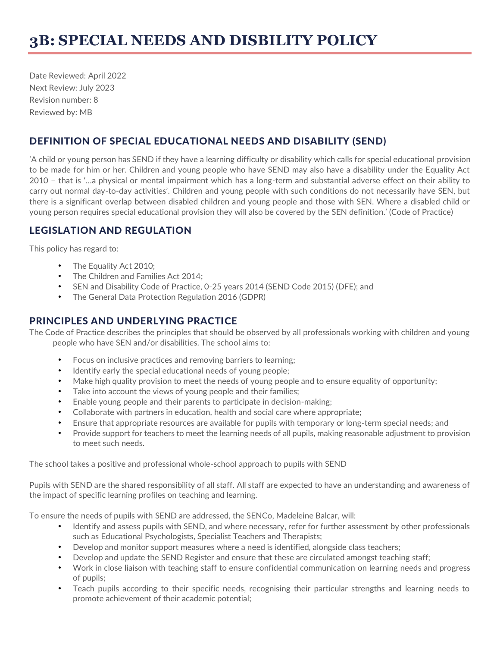Date Reviewed: April 2022 Next Review: July 2023 Revision number: 8 Reviewed by: MB

# DEFINITION OF SPECIAL EDUCATIONAL NEEDS AND DISABILITY (SEND)

'A child or young person has SEND if they have a learning difficulty or disability which calls for special educational provision to be made for him or her. Children and young people who have SEND may also have a disability under the Equality Act 2010 – that is '…a physical or mental impairment which has a long-term and substantial adverse effect on their ability to carry out normal day-to-day activities'. Children and young people with such conditions do not necessarily have SEN, but there is a significant overlap between disabled children and young people and those with SEN. Where a disabled child or young person requires special educational provision they will also be covered by the SEN definition.' (Code of Practice)

# LEGISLATION AND REGULATION

This policy has regard to:

- The Equality Act 2010;
- The Children and Families Act 2014;
- SEN and Disability Code of Practice, 0-25 years 2014 (SEND Code 2015) (DFE); and
- The General Data Protection Regulation 2016 (GDPR)

# PRINCIPLES AND UNDERLYING PRACTICE

The Code of Practice describes the principles that should be observed by all professionals working with children and young people who have SEN and/or disabilities. The school aims to:

- Focus on inclusive practices and removing barriers to learning;
- Identify early the special educational needs of young people;
- Make high quality provision to meet the needs of young people and to ensure equality of opportunity;
- Take into account the views of young people and their families;
- Enable young people and their parents to participate in decision-making;
- Collaborate with partners in education, health and social care where appropriate;
- Ensure that appropriate resources are available for pupils with temporary or long-term special needs; and
- Provide support for teachers to meet the learning needs of all pupils, making reasonable adjustment to provision to meet such needs.

The school takes a positive and professional whole-school approach to pupils with SEND

Pupils with SEND are the shared responsibility of all staff. All staff are expected to have an understanding and awareness of the impact of specific learning profiles on teaching and learning.

To ensure the needs of pupils with SEND are addressed, the SENCo, Madeleine Balcar, will:

- Identify and assess pupils with SEND, and where necessary, refer for further assessment by other professionals such as Educational Psychologists, Specialist Teachers and Therapists;
- Develop and monitor support measures where a need is identified, alongside class teachers;
- Develop and update the SEND Register and ensure that these are circulated amongst teaching staff;
- Work in close liaison with teaching staff to ensure confidential communication on learning needs and progress of pupils;
- Teach pupils according to their specific needs, recognising their particular strengths and learning needs to promote achievement of their academic potential;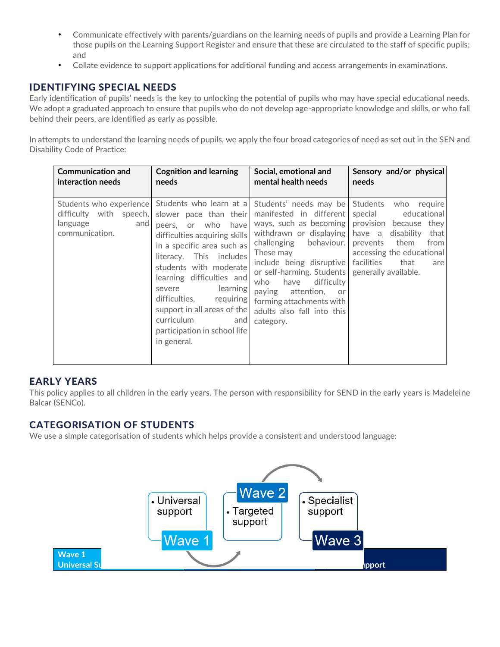- Communicate effectively with parents/guardians on the learning needs of pupils and provide a Learning Plan for those pupils on the Learning Support Register and ensure that these are circulated to the staff of specific pupils; and
- Collate evidence to support applications for additional funding and access arrangements in examinations.

## IDENTIFYING SPECIAL NEEDS

Early identification of pupils' needs is the key to unlocking the potential of pupils who may have special educational needs. We adopt a graduated approach to ensure that pupils who do not develop age-appropriate knowledge and skills, or who fall behind their peers, are identified as early as possible.

In attempts to understand the learning needs of pupils, we apply the four broad categories of need as set out in the SEN and Disability Code of Practice:

| <b>Communication and</b>                                     | <b>Cognition and learning</b>                                                                                                                                                                                                                                                                                                                                                                              | Social, emotional and                                                                                                                                                                                                                                                                                                                       | Sensory and/or physical                                                                                                                                                                                                   |
|--------------------------------------------------------------|------------------------------------------------------------------------------------------------------------------------------------------------------------------------------------------------------------------------------------------------------------------------------------------------------------------------------------------------------------------------------------------------------------|---------------------------------------------------------------------------------------------------------------------------------------------------------------------------------------------------------------------------------------------------------------------------------------------------------------------------------------------|---------------------------------------------------------------------------------------------------------------------------------------------------------------------------------------------------------------------------|
| interaction needs                                            | needs                                                                                                                                                                                                                                                                                                                                                                                                      | mental health needs                                                                                                                                                                                                                                                                                                                         | needs                                                                                                                                                                                                                     |
| difficulty with speech,<br>language<br>and<br>communication. | Students who experience Students who learn at a<br>slower pace than their<br>peers, or who<br>have<br>difficulties acquiring skills<br>in a specific area such as<br>literacy. This includes<br>students with moderate<br>learning difficulties and<br>learning<br>severe<br>difficulties,<br>requiring<br>support in all areas of the<br>curriculum<br>and<br>participation in school life<br>in general. | Students' needs may be<br>manifested in different<br>ways, such as becoming<br>withdrawn or displaying<br>behaviour.<br>challenging<br>These may<br>include being disruptive<br>or self-harming. Students<br>have<br>difficulty<br>who<br>paying<br>attention,<br>or<br>forming attachments with<br>adults also fall into this<br>category. | Students<br>who<br>require<br>educational<br>special<br>provision because they<br>have a disability<br>that<br>them<br>from<br>prevents<br>accessing the educational<br>facilities<br>that<br>are<br>generally available. |

## EARLY YEARS

This policy applies to all children in the early years. The person with responsibility for SEND in the early years is Madeleine Balcar (SENCo).

## CATEGORISATION OF STUDENTS

We use a simple categorisation of students which helps provide a consistent and understood language:

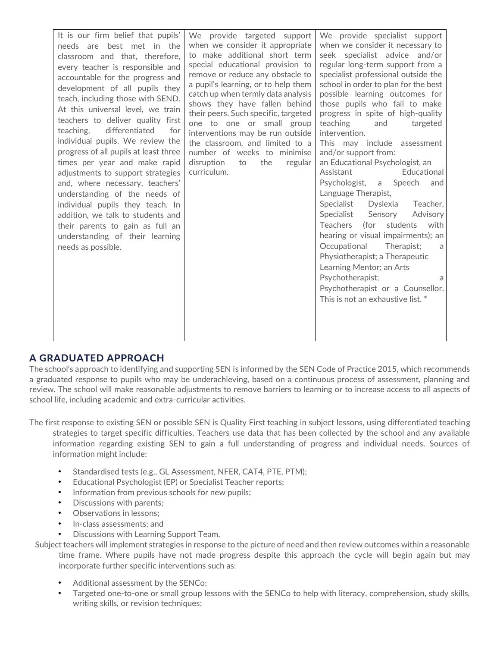| It is our firm belief that pupils'<br>needs are best met in the<br>classroom and that, therefore,<br>every teacher is responsible and<br>accountable for the progress and<br>development of all pupils they<br>teach, including those with SEND.<br>At this universal level, we train<br>teachers to deliver quality first<br>teaching, differentiated<br>for<br>individual pupils. We review the<br>progress of all pupils at least three<br>times per year and make rapid<br>adjustments to support strategies<br>and, where necessary, teachers'<br>understanding of the needs of<br>individual pupils they teach. In<br>addition, we talk to students and<br>their parents to gain as full an<br>understanding of their learning<br>needs as possible. | We provide targeted support<br>when we consider it appropriate<br>to make additional short term<br>special educational provision to<br>remove or reduce any obstacle to<br>a pupil's learning, or to help them<br>catch up when termly data analysis<br>shows they have fallen behind<br>their peers. Such specific, targeted<br>one to one or small group<br>interventions may be run outside<br>the classroom, and limited to a<br>number of weeks to minimise<br>disruption<br>the<br>to<br>regular<br>curriculum. | We provide specialist support<br>when we consider it necessary to<br>seek specialist advice and/or<br>regular long-term support from a<br>specialist professional outside the<br>school in order to plan for the best<br>possible learning outcomes for<br>those pupils who fail to make<br>progress in spite of high-quality<br>teaching<br>and<br>targeted<br>intervention.<br>This may include assessment<br>and/or support from:<br>an Educational Psychologist, an<br>Assistant<br>Educational<br>Psychologist,<br>a Speech<br>and<br>Language Therapist,<br>Specialist<br>Dyslexia<br>Teacher,<br>Advisory<br>Specialist Sensory<br>Teachers (for students<br>with<br>hearing or visual impairments); an<br>Occupational<br>Therapist;<br>a<br>Physiotherapist; a Therapeutic<br>Learning Mentor; an Arts<br>Psychotherapist;<br>a<br>Psychotherapist or a Counsellor.<br>This is not an exhaustive list. * |
|------------------------------------------------------------------------------------------------------------------------------------------------------------------------------------------------------------------------------------------------------------------------------------------------------------------------------------------------------------------------------------------------------------------------------------------------------------------------------------------------------------------------------------------------------------------------------------------------------------------------------------------------------------------------------------------------------------------------------------------------------------|-----------------------------------------------------------------------------------------------------------------------------------------------------------------------------------------------------------------------------------------------------------------------------------------------------------------------------------------------------------------------------------------------------------------------------------------------------------------------------------------------------------------------|-------------------------------------------------------------------------------------------------------------------------------------------------------------------------------------------------------------------------------------------------------------------------------------------------------------------------------------------------------------------------------------------------------------------------------------------------------------------------------------------------------------------------------------------------------------------------------------------------------------------------------------------------------------------------------------------------------------------------------------------------------------------------------------------------------------------------------------------------------------------------------------------------------------------|

## A GRADUATED APPROACH

The school's approach to identifying and supporting SEN is informed by the SEN Code of Practice 2015, which recommends a graduated response to pupils who may be underachieving, based on a continuous process of assessment, planning and review. The school will make reasonable adjustments to remove barriers to learning or to increase access to all aspects of school life, including academic and extra-curricular activities.

The first response to existing SEN or possible SEN is Quality First teaching in subject lessons, using differentiated teaching strategies to target specific difficulties. Teachers use data that has been collected by the school and any available information regarding existing SEN to gain a full understanding of progress and individual needs. Sources of information might include:

- Standardised tests (e.g., GL Assessment, NFER, CAT4, PTE, PTM);
- Educational Psychologist (EP) or Specialist Teacher reports;
- Information from previous schools for new pupils;
- Discussions with parents;
- Observations in lessons;
- In-class assessments; and
- Discussions with Learning Support Team.

Subject teachers will implement strategies in response to the picture of need and then review outcomes within a reasonable time frame. Where pupils have not made progress despite this approach the cycle will begin again but may incorporate further specific interventions such as:

- Additional assessment by the SENCo;
- Targeted one-to-one or small group lessons with the SENCo to help with literacy, comprehension, study skills, writing skills, or revision techniques;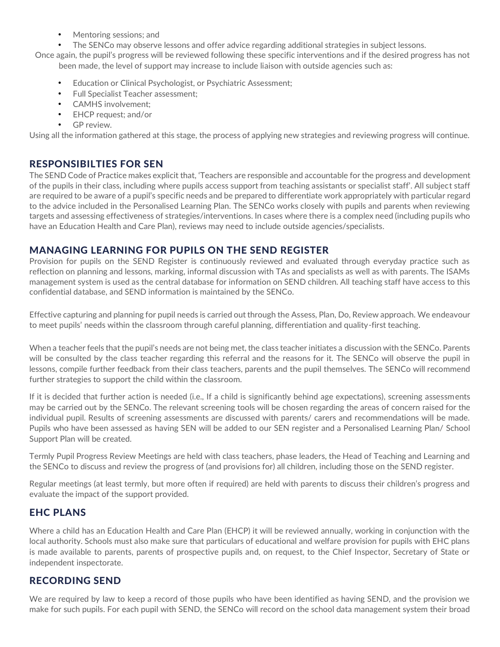- Mentoring sessions; and
- The SENCo may observe lessons and offer advice regarding additional strategies in subject lessons.

Once again, the pupil's progress will be reviewed following these specific interventions and if the desired progress has not been made, the level of support may increase to include liaison with outside agencies such as:

- Education or Clinical Psychologist, or Psychiatric Assessment;
- Full Specialist Teacher assessment;
- CAMHS involvement;
- EHCP request; and/or
- GP review.

Using all the information gathered at this stage, the process of applying new strategies and reviewing progress will continue.

## RESPONSIBILTIES FOR SEN

The SEND Code of Practice makes explicit that, 'Teachers are responsible and accountable for the progress and development of the pupils in their class, including where pupils access support from teaching assistants or specialist staff'. All subject staff are required to be aware of a pupil's specific needs and be prepared to differentiate work appropriately with particular regard to the advice included in the Personalised Learning Plan. The SENCo works closely with pupils and parents when reviewing targets and assessing effectiveness of strategies/interventions. In cases where there is a complex need (including pupils who have an Education Health and Care Plan), reviews may need to include outside agencies/specialists.

## MANAGING LEARNING FOR PUPILS ON THE SEND REGISTER

Provision for pupils on the SEND Register is continuously reviewed and evaluated through everyday practice such as reflection on planning and lessons, marking, informal discussion with TAs and specialists as well as with parents. The ISAMs management system is used as the central database for information on SEND children. All teaching staff have access to this confidential database, and SEND information is maintained by the SENCo.

Effective capturing and planning for pupil needs is carried out through the Assess, Plan, Do, Review approach. We endeavour to meet pupils' needs within the classroom through careful planning, differentiation and quality-first teaching.

When a teacher feels that the pupil's needs are not being met, the class teacher initiates a discussion with the SENCo. Parents will be consulted by the class teacher regarding this referral and the reasons for it. The SENCo will observe the pupil in lessons, compile further feedback from their class teachers, parents and the pupil themselves. The SENCo will recommend further strategies to support the child within the classroom.

If it is decided that further action is needed (i.e., If a child is significantly behind age expectations), screening assessments may be carried out by the SENCo. The relevant screening tools will be chosen regarding the areas of concern raised for the individual pupil. Results of screening assessments are discussed with parents/ carers and recommendations will be made. Pupils who have been assessed as having SEN will be added to our SEN register and a Personalised Learning Plan/ School Support Plan will be created.

Termly Pupil Progress Review Meetings are held with class teachers, phase leaders, the Head of Teaching and Learning and the SENCo to discuss and review the progress of (and provisions for) all children, including those on the SEND register.

Regular meetings (at least termly, but more often if required) are held with parents to discuss their children's progress and evaluate the impact of the support provided.

# EHC PLANS

Where a child has an Education Health and Care Plan (EHCP) it will be reviewed annually, working in conjunction with the local authority. Schools must also make sure that particulars of educational and welfare provision for pupils with EHC plans is made available to parents, parents of prospective pupils and, on request, to the Chief Inspector, Secretary of State or independent inspectorate.

## RECORDING SEND

We are required by law to keep a record of those pupils who have been identified as having SEND, and the provision we make for such pupils. For each pupil with SEND, the SENCo will record on the school data management system their broad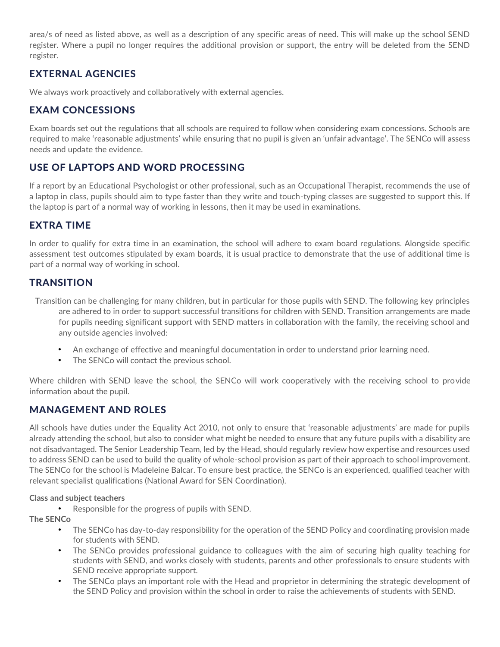area/s of need as listed above, as well as a description of any specific areas of need. This will make up the school SEND register. Where a pupil no longer requires the additional provision or support, the entry will be deleted from the SEND register.

# EXTERNAL AGENCIES

We always work proactively and collaboratively with external agencies.

# EXAM CONCESSIONS

Exam boards set out the regulations that all schools are required to follow when considering exam concessions. Schools are required to make 'reasonable adjustments' while ensuring that no pupil is given an 'unfair advantage'. The SENCo will assess needs and update the evidence.

# USE OF LAPTOPS AND WORD PROCESSING

If a report by an Educational Psychologist or other professional, such as an Occupational Therapist, recommends the use of a laptop in class, pupils should aim to type faster than they write and touch-typing classes are suggested to support this. If the laptop is part of a normal way of working in lessons, then it may be used in examinations.

## EXTRA TIME

In order to qualify for extra time in an examination, the school will adhere to exam board regulations. Alongside specific assessment test outcomes stipulated by exam boards, it is usual practice to demonstrate that the use of additional time is part of a normal way of working in school.

## **TRANSITION**

Transition can be challenging for many children, but in particular for those pupils with SEND. The following key principles are adhered to in order to support successful transitions for children with SEND. Transition arrangements are made for pupils needing significant support with SEND matters in collaboration with the family, the receiving school and any outside agencies involved:

- An exchange of effective and meaningful documentation in order to understand prior learning need.
- The SENCo will contact the previous school.

Where children with SEND leave the school, the SENCo will work cooperatively with the receiving school to provide information about the pupil.

# MANAGEMENT AND ROLES

All schools have duties under the Equality Act 2010, not only to ensure that 'reasonable adjustments' are made for pupils already attending the school, but also to consider what might be needed to ensure that any future pupils with a disability are not disadvantaged. The Senior Leadership Team, led by the Head, should regularly review how expertise and resources used to address SEND can be used to build the quality of whole-school provision as part of their approach to school improvement. The SENCo for the school is Madeleine Balcar. To ensure best practice, the SENCo is an experienced, qualified teacher with relevant specialist qualifications (National Award for SEN Coordination).

#### **Class and subject teachers**

• Responsible for the progress of pupils with SEND.

### **The SENCo**

- The SENCo has day-to-day responsibility for the operation of the SEND Policy and coordinating provision made for students with SEND.
- The SENCo provides professional guidance to colleagues with the aim of securing high quality teaching for students with SEND, and works closely with students, parents and other professionals to ensure students with SEND receive appropriate support.
- The SENCo plays an important role with the Head and proprietor in determining the strategic development of the SEND Policy and provision within the school in order to raise the achievements of students with SEND.